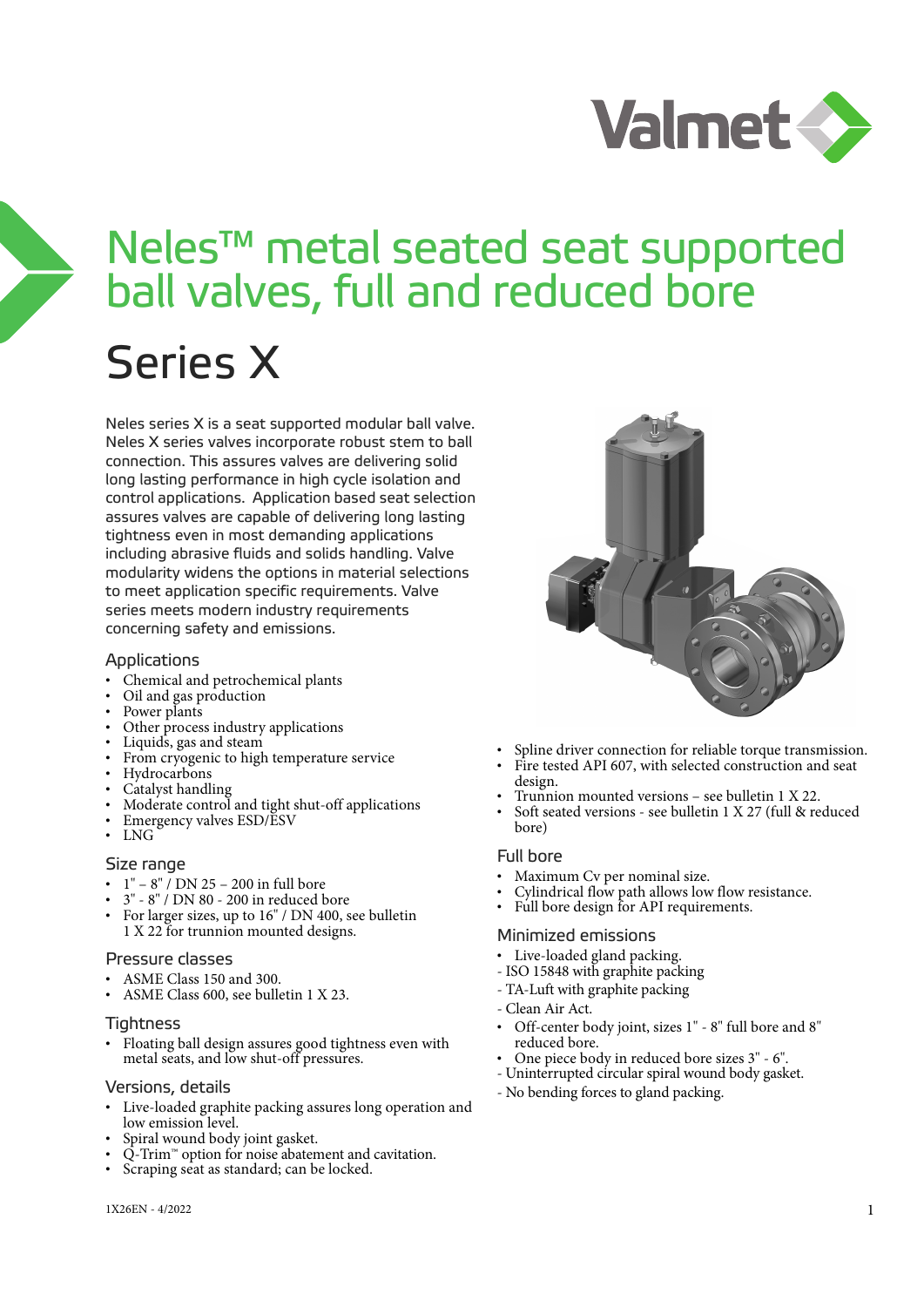

# Neles™ metal seated seat supported ball valves, full and reduced bore

## Series X

Neles series X is a seat supported modular ball valve. Neles X series valves incorporate robust stem to ball connection. This assures valves are delivering solid long lasting performance in high cycle isolation and control applications. Application based seat selection assures valves are capable of delivering long lasting tightness even in most demanding applications including abrasive fluids and solids handling. Valve modularity widens the options in material selections to meet application specific requirements. Valve series meets modern industry requirements concerning safety and emissions.

#### Applications

- Chemical and petrochemical plants
- Oil and gas production
- Power plants
- Other process industry applications
- Liquids, gas and steam
- From cryogenic to high temperature service
- Hydrocarbons
- Catalyst handling
- Moderate control and tight shut-off applications
- Emergency valves ESD/ESV
- LNG

#### Size range

- 1" 8" / DN 25 200 in full bore
- 3" 8" / DN 80 200 in reduced bore
- For larger sizes, up to 16" / DN 400, see bulletin 1 X 22 for trunnion mounted designs.

#### Pressure classes

- ASME Class 150 and 300.
- ASME Class 600, see bulletin 1 X 23.

#### Tightness

• Floating ball design assures good tightness even with metal seats, and low shut-off pressures.

#### Versions, details

- Live-loaded graphite packing assures long operation and low emission level.
- Spiral wound body joint gasket.
- $\tilde{Q}$ -Trim<sup>™</sup> option for noise abatement and cavitation.
- Scraping seat as standard; can be locked.



- Spline driver connection for reliable torque transmission.
- Fire tested API 607, with selected construction and seat design.
- Trunnion mounted versions see bulletin 1 X 22.
- Soft seated versions see bulletin 1 X 27 (full & reduced bore)

#### Full bore

- Maximum Cv per nominal size.
- Cylindrical flow path allows low flow resistance.
- Full bore design for API requirements.

#### Minimized emissions

- Live-loaded gland packing.
- ISO 15848 with graphite packing
- TA-Luft with graphite packing
- Clean Air Act.
- Off-center body joint, sizes 1" 8" full bore and 8" reduced bore.
- One piece body in reduced bore sizes 3" 6".
- Uninterrupted circular spiral wound body gasket.
- No bending forces to gland packing.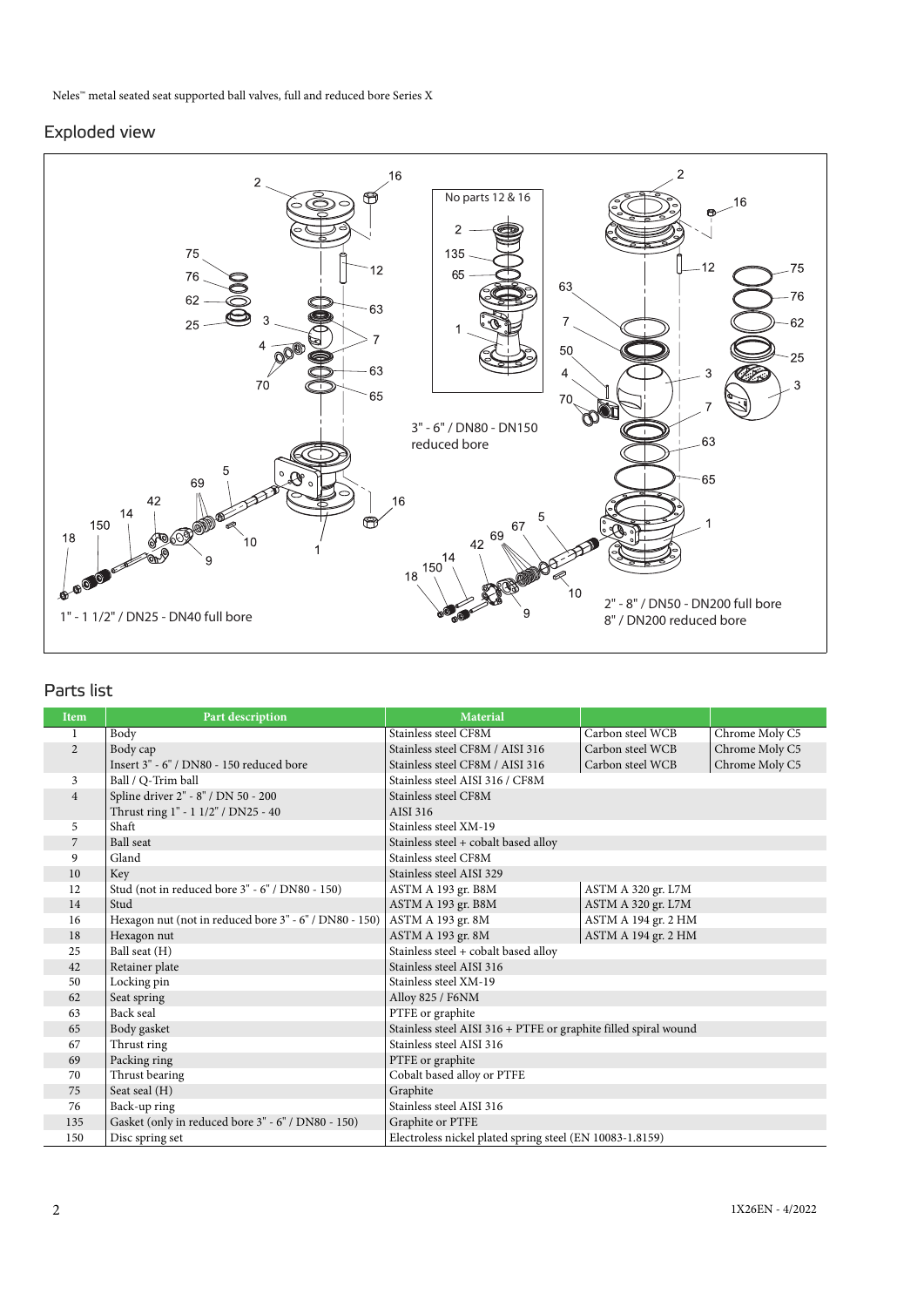#### Exploded view



### Parts list

| <b>Item</b>    | Part description                                       | Material                                                        |                     |                |
|----------------|--------------------------------------------------------|-----------------------------------------------------------------|---------------------|----------------|
| 1              | Body                                                   | Stainless steel CF8M                                            | Carbon steel WCB    | Chrome Moly C5 |
| $\overline{2}$ | Body cap                                               | Stainless steel CF8M / AISI 316                                 | Carbon steel WCB    | Chrome Moly C5 |
|                | Insert 3" - 6" / DN80 - 150 reduced bore               | Stainless steel CF8M / AISI 316                                 | Carbon steel WCB    | Chrome Moly C5 |
| 3              | Ball / Q-Trim ball                                     | Stainless steel AISI 316 / CF8M                                 |                     |                |
| $\overline{4}$ | Spline driver 2" - 8" / DN 50 - 200                    | Stainless steel CF8M                                            |                     |                |
|                | Thrust ring 1" - 1 1/2" / DN25 - 40                    | AISI 316                                                        |                     |                |
| 5              | Shaft                                                  | Stainless steel XM-19                                           |                     |                |
| 7              | <b>Ball</b> seat                                       | Stainless steel + cobalt based alloy                            |                     |                |
| 9              | Gland                                                  | Stainless steel CF8M                                            |                     |                |
| 10             | Key                                                    | Stainless steel AISI 329                                        |                     |                |
| 12             | Stud (not in reduced bore 3" - 6" / DN80 - 150)        | ASTM A 193 gr. B8M                                              | ASTM A 320 gr. L7M  |                |
| 14             | Stud                                                   | ASTM A 193 gr. B8M                                              | ASTM A 320 gr. L7M  |                |
| 16             | Hexagon nut (not in reduced bore 3" - 6" / DN80 - 150) | ASTM A 193 gr. 8M                                               | ASTM A 194 gr. 2 HM |                |
| 18             | Hexagon nut                                            | ASTM A 193 gr. 8M                                               | ASTM A 194 gr. 2 HM |                |
| 25             | Ball seat (H)                                          | Stainless steel + cobalt based alloy                            |                     |                |
| 42             | Retainer plate                                         | Stainless steel AISI 316                                        |                     |                |
| 50             | Locking pin                                            | Stainless steel XM-19                                           |                     |                |
| 62             | Seat spring                                            | Alloy 825 / F6NM                                                |                     |                |
| 63             | Back seal                                              | PTFE or graphite                                                |                     |                |
| 65             | Body gasket                                            | Stainless steel AISI 316 + PTFE or graphite filled spiral wound |                     |                |
| 67             | Thrust ring                                            | Stainless steel AISI 316                                        |                     |                |
| 69             | Packing ring                                           | PTFE or graphite                                                |                     |                |
| 70             | Thrust bearing                                         | Cobalt based alloy or PTFE                                      |                     |                |
| 75             | Seat seal (H)                                          | Graphite                                                        |                     |                |
| 76             | Back-up ring                                           | Stainless steel AISI 316                                        |                     |                |
| 135            | Gasket (only in reduced bore 3" - 6" / DN80 - 150)     | Graphite or PTFE                                                |                     |                |
| 150            | Disc spring set                                        | Electroless nickel plated spring steel (EN 10083-1.8159)        |                     |                |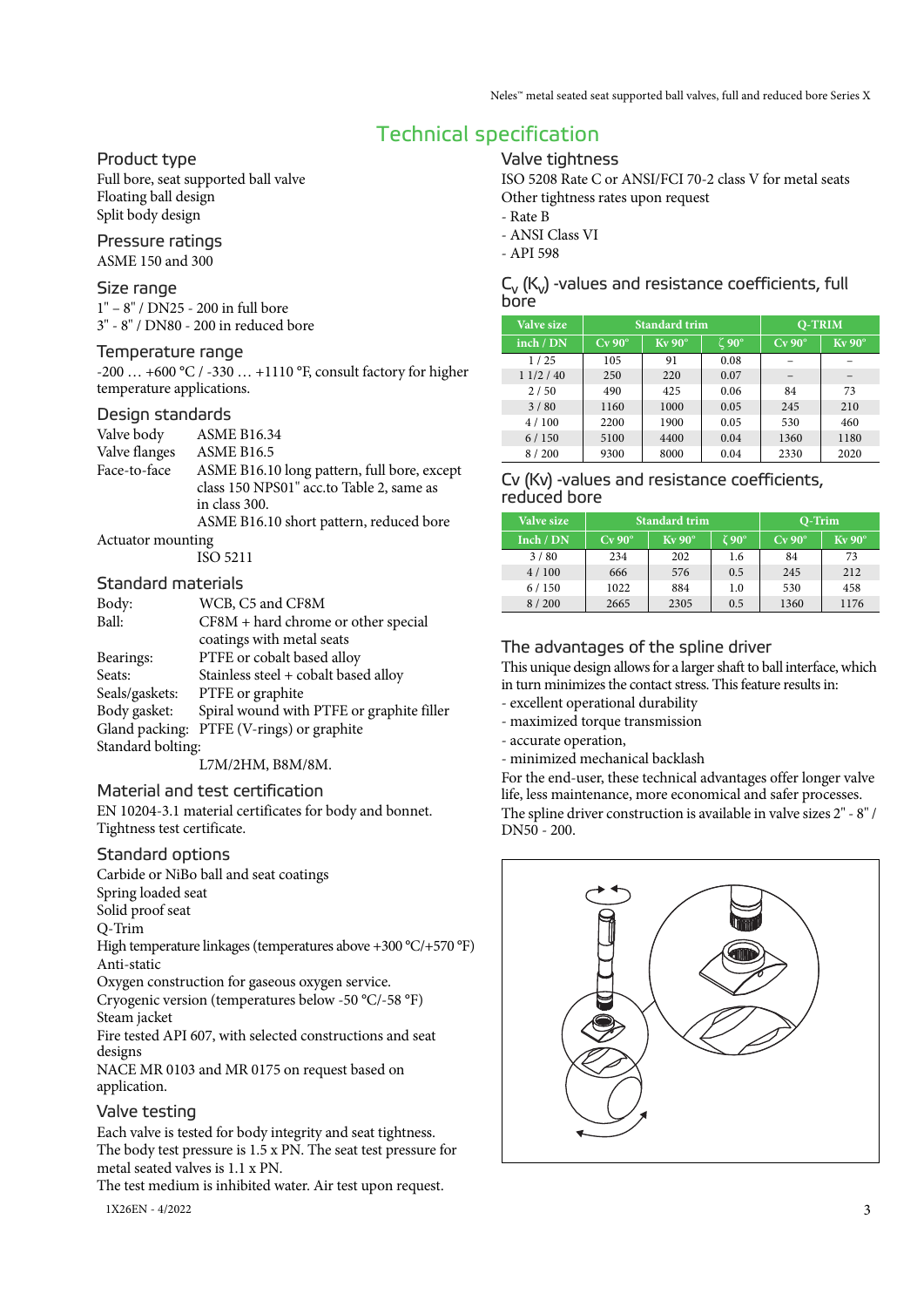## Technical specification

#### Product type

Full bore, seat supported ball valve Floating ball design Split body design

#### Pressure ratings ASME 150 and 300

#### Size range

1" – 8" / DN25 - 200 in full bore 3" - 8" / DN80 - 200 in reduced bore

#### Temperature range

-200 … +600 °C / -330 … +1110 °F, consult factory for higher temperature applications.

#### Design standards

| Valve body     | <b>ASME B16.34</b>                          |
|----------------|---------------------------------------------|
| Valve flanges  | <b>ASME B16.5</b>                           |
| Face-to-face   | ASME B16.10 long pattern, full bore, except |
|                | class 150 NPS01" acc.to Table 2, same as    |
|                | in class 300.                               |
|                | ASME B16.10 short pattern, reduced bore     |
| $\blacksquare$ |                                             |

#### Actuator mounting

ISO 5211

#### Standard materials

| Body:             | WCB, C5 and CF8M                          |
|-------------------|-------------------------------------------|
| Ball:             | $CF8M + hard$ chrome or other special     |
|                   | coatings with metal seats                 |
| Bearings:         | PTFE or cobalt based alloy                |
| Seats:            | Stainless steel + cobalt based alloy      |
| Seals/gaskets:    | PTFE or graphite                          |
| Body gasket:      | Spiral wound with PTFE or graphite filler |
| Gland packing:    | PTFE (V-rings) or graphite                |
| Standard bolting: |                                           |

 $\tilde{L}$  L7M/2HM, B8M/8M.

#### Material and test certification

EN 10204-3.1 material certificates for body and bonnet. Tightness test certificate.

#### Standard options

Carbide or NiBo ball and seat coatings

- Spring loaded seat
- Solid proof seat

Q-Trim

High temperature linkages (temperatures above +300 °C/+570 °F) Anti-static

Oxygen construction for gaseous oxygen service.

Cryogenic version (temperatures below -50 °C/-58 °F) Steam jacket

Fire tested API 607, with selected constructions and seat designs

NACE MR 0103 and MR 0175 on request based on application.

#### Valve testing

Each valve is tested for body integrity and seat tightness. The body test pressure is 1.5 x PN. The seat test pressure for metal seated valves is 1.1 x PN.

The test medium is inhibited water. Air test upon request.

#### Valve tightness

ISO 5208 Rate C or ANSI/FCI 70-2 class V for metal seats Other tightness rates upon request

- Rate B
- ANSI Class VI
- API 598

#### $C_v$  ( $K_v$ ) -values and resistance coefficients, full bore

| Valve size |                    | <b>Standard trim</b> |             | <b>O-TRIM</b>      |                    |  |  |  |
|------------|--------------------|----------------------|-------------|--------------------|--------------------|--|--|--|
| inch / DN  | $Cv$ 90 $^{\circ}$ | $Kv$ 90 $^{\circ}$   | $\zeta$ 90° | $Cv$ 90 $^{\circ}$ | $Kv$ 90 $^{\circ}$ |  |  |  |
| 1/25       | 105                | 91                   | 0.08        |                    |                    |  |  |  |
| 11/2 / 40  | 250                | 220                  | 0.07        |                    |                    |  |  |  |
| 2/50       | 490                | 425                  | 0.06        | 84                 | 73                 |  |  |  |
| 3/80       | 1160               | 1000                 | 0.05        | 245                | 210                |  |  |  |
| 4/100      | 2200               | 1900                 | 0.05        | 530                | 460                |  |  |  |
| 6/150      | 5100               | 4400                 | 0.04        | 1360               | 1180               |  |  |  |
| 8/200      | 9300               | 8000                 | 0.04        | 2330               | 2020               |  |  |  |

#### Cv (Kv) -values and resistance coefficients, reduced bore

| Valve size |                    | <b>Standard trim</b> |       | <b>Q-Trim</b>      |                    |  |  |  |
|------------|--------------------|----------------------|-------|--------------------|--------------------|--|--|--|
| Inch / DN  | $Cv$ 90 $^{\circ}$ | $Kv$ 90 $^{\circ}$   | č 90° | $Cv$ 90 $^{\circ}$ | $Kv$ 90 $^{\circ}$ |  |  |  |
| 3/80       | 234                | 202                  | 1.6   | 84                 | 73                 |  |  |  |
| 4/100      | 666                | 576                  | 0.5   | 245                | 212                |  |  |  |
| 6/150      | 1022               | 884                  | 1.0   | 530                | 458                |  |  |  |
| 8/200      | 2665               | 2305                 | 0.5   | 1360               | 1176               |  |  |  |

### The advantages of the spline driver

This unique design allows for a larger shaft to ball interface, which in turn minimizes the contact stress. This feature results in:

- excellent operational durability
- maximized torque transmission
- accurate operation,

- minimized mechanical backlash

For the end-user, these technical advantages offer longer valve life, less maintenance, more economical and safer processes. The spline driver construction is available in valve sizes 2" - 8" / DN50 - 200.

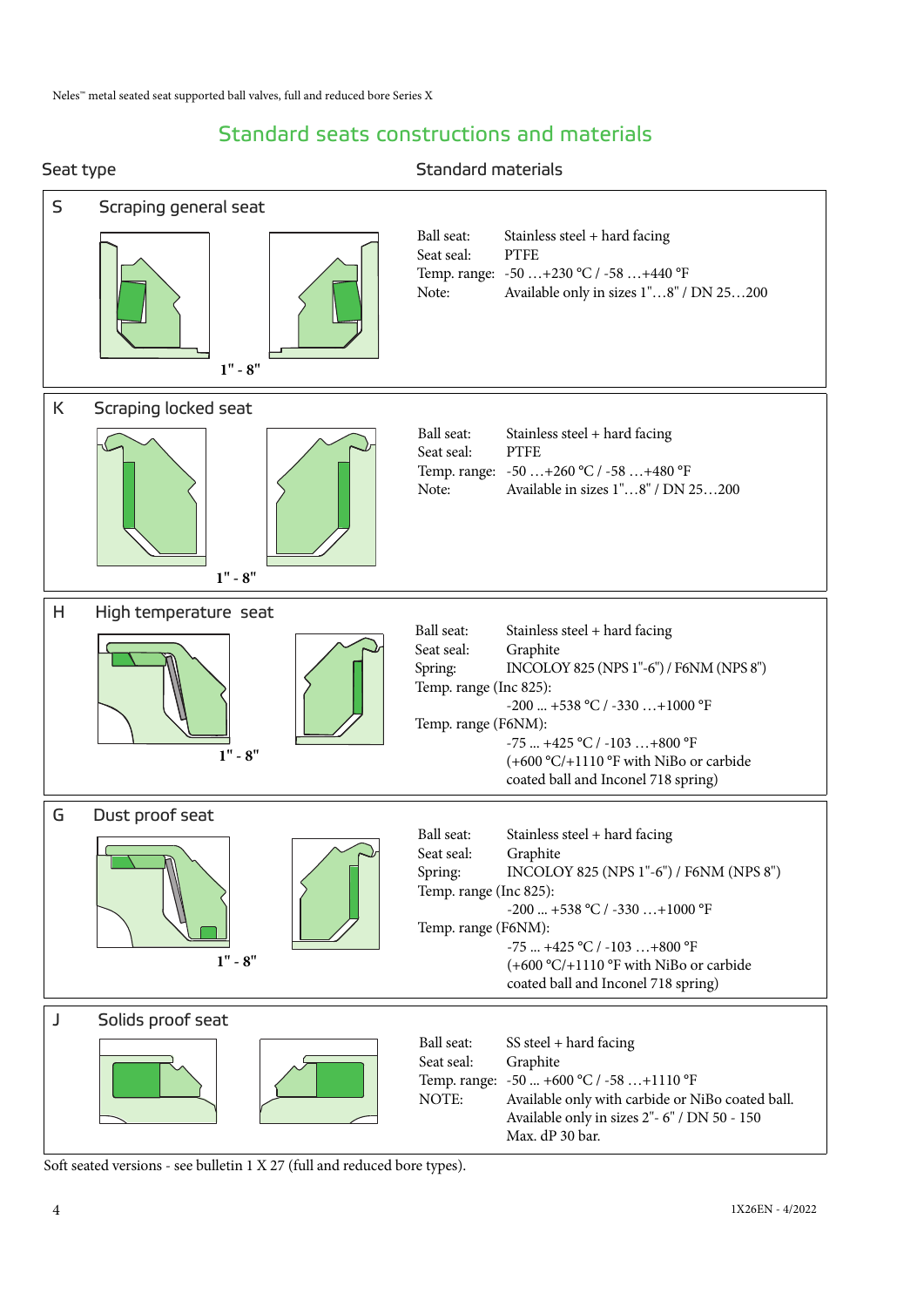## Standard seats constructions and materials



Soft seated versions - see bulletin 1 X 27 (full and reduced bore types).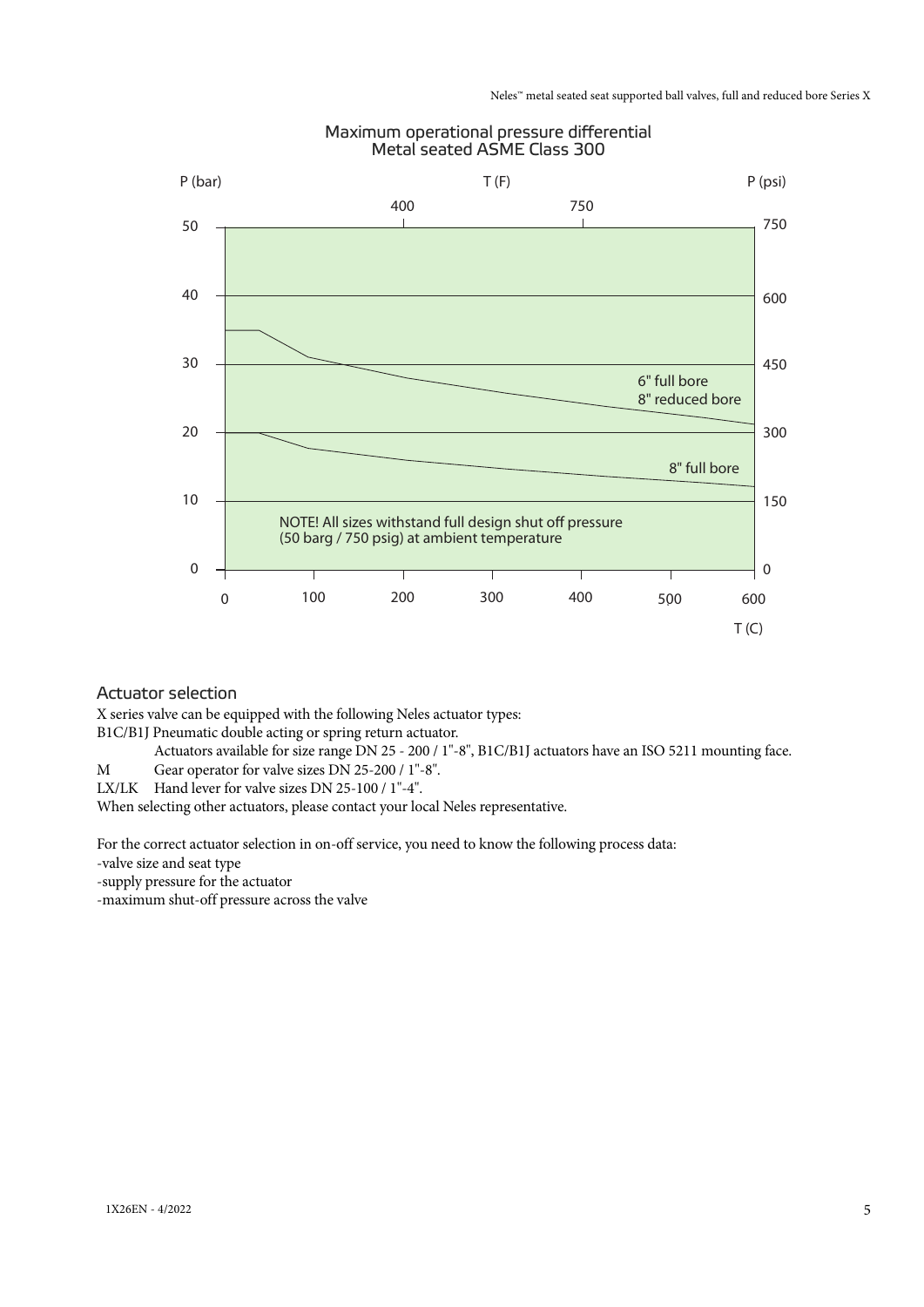#### Maximum operational pressure differential Metal seated ASME Class 300



#### Actuator selection

X series valve can be equipped with the following Neles actuator types:

B1C/B1J Pneumatic double acting or spring return actuator.

Actuators available for size range DN 25 - 200 / 1"-8", B1C/B1J actuators have an ISO 5211 mounting face.

M Gear operator for valve sizes DN 25-200 / 1"-8".

LX/LK Hand lever for valve sizes DN 25-100 / 1"-4".

When selecting other actuators, please contact your local Neles representative.

For the correct actuator selection in on-off service, you need to know the following process data:

-valve size and seat type

-supply pressure for the actuator

-maximum shut-off pressure across the valve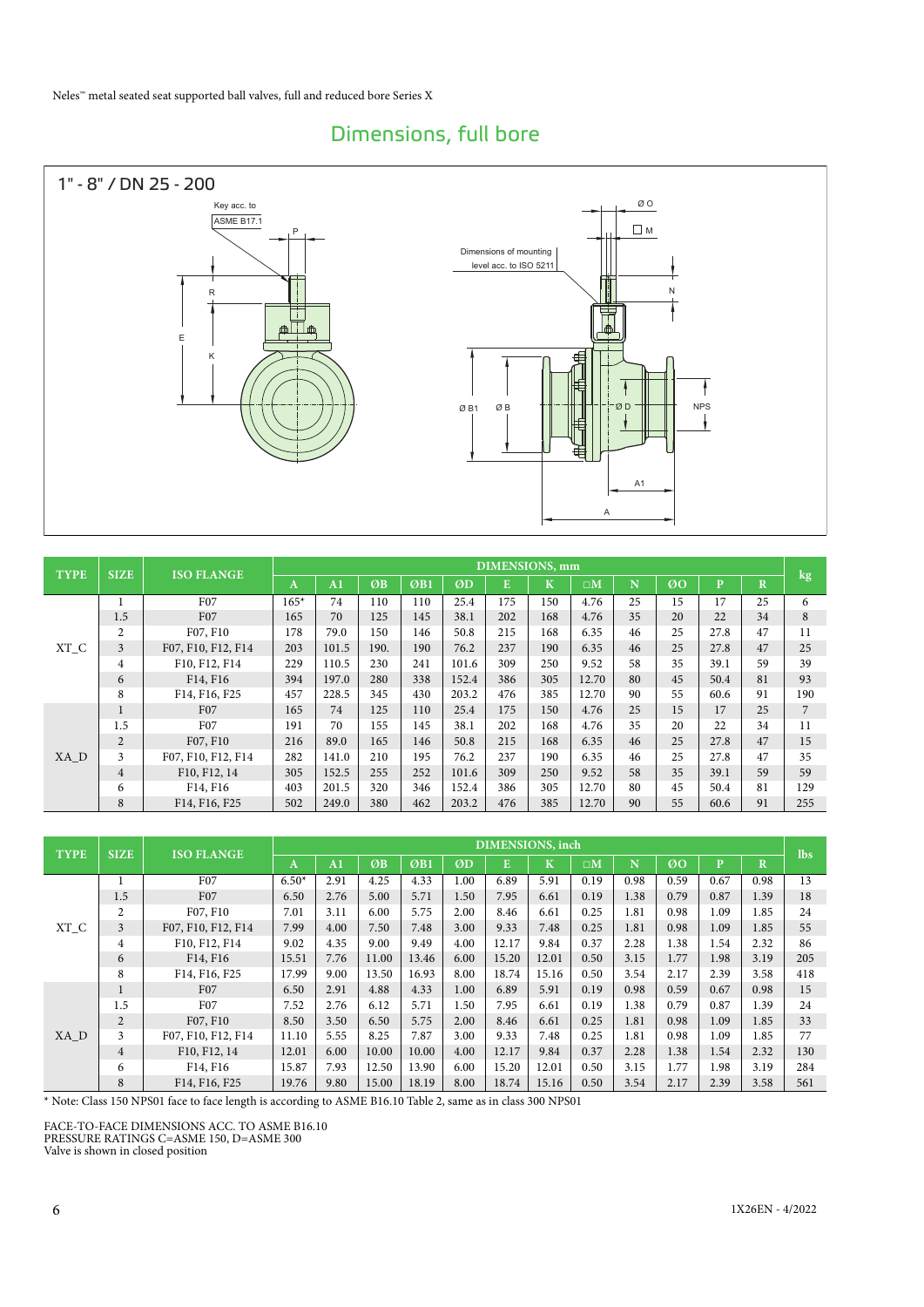## Dimensions, full bore



| <b>TYPE</b> | <b>SIZE</b>    | <b>ISO FLANGE</b>  |        | DIMENSIONS, mm |      |     |       |     |             |             |    |    |              |             |                |
|-------------|----------------|--------------------|--------|----------------|------|-----|-------|-----|-------------|-------------|----|----|--------------|-------------|----------------|
|             |                |                    | A      | A <sub>1</sub> | ØB   | ØB1 | ØD    | E   | $\mathbf K$ | $\square M$ | N  | Ø0 | $\mathbf{p}$ | $\mathbf R$ | kg             |
|             |                | F <sub>07</sub>    | $165*$ | 74             | 110  | 110 | 25.4  | 175 | 150         | 4.76        | 25 | 15 | 17           | 25          | 6              |
|             | 1.5            | F <sub>07</sub>    | 165    | 70             | 125  | 145 | 38.1  | 202 | 168         | 4.76        | 35 | 20 | 22           | 34          | 8              |
|             | $\overline{c}$ | F07, F10           | 178    | 79.0           | 150  | 146 | 50.8  | 215 | 168         | 6.35        | 46 | 25 | 27.8         | 47          | 11             |
| XT_C        | 3              | F07, F10, F12, F14 | 203    | 101.5          | 190. | 190 | 76.2  | 237 | 190         | 6.35        | 46 | 25 | 27.8         | 47          | 25             |
|             | $\overline{4}$ | F10, F12, F14      | 229    | 110.5          | 230  | 241 | 101.6 | 309 | 250         | 9.52        | 58 | 35 | 39.1         | 59          | 39             |
|             | 6              | F14, F16           | 394    | 197.0          | 280  | 338 | 152.4 | 386 | 305         | 12.70       | 80 | 45 | 50.4         | 81          | 93             |
|             | 8              | F14, F16, F25      | 457    | 228.5          | 345  | 430 | 203.2 | 476 | 385         | 12.70       | 90 | 55 | 60.6         | 91          | 190            |
|             |                | F <sub>07</sub>    | 165    | 74             | 125  | 110 | 25.4  | 175 | 150         | 4.76        | 25 | 15 | 17           | 25          | $\overline{7}$ |
|             | 1.5            | F07                | 191    | 70             | 155  | 145 | 38.1  | 202 | 168         | 4.76        | 35 | 20 | 22           | 34          | 11             |
|             | $\overline{2}$ | F07, F10           | 216    | 89.0           | 165  | 146 | 50.8  | 215 | 168         | 6.35        | 46 | 25 | 27.8         | 47          | 15             |
| XA D        | 3              | F07, F10, F12, F14 | 282    | 141.0          | 210  | 195 | 76.2  | 237 | 190         | 6.35        | 46 | 25 | 27.8         | 47          | 35             |
|             | $\overline{4}$ | F10, F12, 14       | 305    | 152.5          | 255  | 252 | 101.6 | 309 | 250         | 9.52        | 58 | 35 | 39.1         | 59          | 59             |
|             | 6              | F14, F16           | 403    | 201.5          | 320  | 346 | 152.4 | 386 | 305         | 12.70       | 80 | 45 | 50.4         | 81          | 129            |
|             | 8              | F14, F16, F25      | 502    | 249.0          | 380  | 462 | 203.2 | 476 | 385         | 12.70       | 90 | 55 | 60.6         | 91          | 255            |

|             | <b>SIZE</b>    | <b>ISO FLANGE</b>  |         |                |       |       |      |       | DIMENSIONS, inch |             |      |      |              |             | <b>lbs</b> |
|-------------|----------------|--------------------|---------|----------------|-------|-------|------|-------|------------------|-------------|------|------|--------------|-------------|------------|
| <b>TYPE</b> |                |                    | A       | A <sub>1</sub> | ØB    | ØB1   | ØD   | E     | $\mathbf K'$     | $\square M$ | N    | Ø0   | $\mathbf{p}$ | $\mathbf R$ |            |
|             |                | F07                | $6.50*$ | 2.91           | 4.25  | 4.33  | 1.00 | 6.89  | 5.91             | 0.19        | 0.98 | 0.59 | 0.67         | 0.98        | 13         |
|             | 1.5            | F <sub>07</sub>    | 6.50    | 2.76           | 5.00  | 5.71  | 1.50 | 7.95  | 6.61             | 0.19        | 1.38 | 0.79 | 0.87         | 1.39        | 18         |
|             | $\overline{2}$ | F07, F10           | 7.01    | 3.11           | 6.00  | 5.75  | 2.00 | 8.46  | 6.61             | 0.25        | 1.81 | 0.98 | 1.09         | 1.85        | 24         |
| $XT_C$      | $\overline{3}$ | F07, F10, F12, F14 | 7.99    | 4.00           | 7.50  | 7.48  | 3.00 | 9.33  | 7.48             | 0.25        | 1.81 | 0.98 | 1.09         | 1.85        | 55         |
|             | $\overline{4}$ | F10, F12, F14      | 9.02    | 4.35           | 9.00  | 9.49  | 4.00 | 12.17 | 9.84             | 0.37        | 2.28 | 1.38 | 1.54         | 2.32        | 86         |
|             | 6              | F14, F16           | 15.51   | 7.76           | 11.00 | 13.46 | 6.00 | 15.20 | 12.01            | 0.50        | 3.15 | 1.77 | 1.98         | 3.19        | 205        |
|             | 8              | F14, F16, F25      | 17.99   | 9.00           | 13.50 | 16.93 | 8.00 | 18.74 | 15.16            | 0.50        | 3.54 | 2.17 | 2.39         | 3.58        | 418        |
|             | $\mathbf{1}$   | F <sub>07</sub>    | 6.50    | 2.91           | 4.88  | 4.33  | 1.00 | 6.89  | 5.91             | 0.19        | 0.98 | 0.59 | 0.67         | 0.98        | 15         |
|             | 1.5            | F07                | 7.52    | 2.76           | 6.12  | 5.71  | 1.50 | 7.95  | 6.61             | 0.19        | 1.38 | 0.79 | 0.87         | 1.39        | 24         |
|             | $\overline{2}$ | F07, F10           | 8.50    | 3.50           | 6.50  | 5.75  | 2.00 | 8.46  | 6.61             | 0.25        | 1.81 | 0.98 | 1.09         | 1.85        | 33         |
| XA D        | 3              | F07, F10, F12, F14 | 11.10   | 5.55           | 8.25  | 7.87  | 3.00 | 9.33  | 7.48             | 0.25        | 1.81 | 0.98 | 1.09         | 1.85        | 77         |
|             | $\overline{4}$ | F10, F12, 14       | 12.01   | 6.00           | 10.00 | 10.00 | 4.00 | 12.17 | 9.84             | 0.37        | 2.28 | 1.38 | 1.54         | 2.32        | 130        |
|             | 6              | F14, F16           | 15.87   | 7.93           | 12.50 | 13.90 | 6.00 | 15.20 | 12.01            | 0.50        | 3.15 | 1.77 | 1.98         | 3.19        | 284        |
|             | 8              | F14, F16, F25      | 19.76   | 9.80           | 15.00 | 18.19 | 8.00 | 18.74 | 15.16            | 0.50        | 3.54 | 2.17 | 2.39         | 3.58        | 561        |

\* Note: Class 150 NPS01 face to face length is according to ASME B16.10 Table 2, same as in class 300 NPS01

FACE-TO-FACE DIMENSIONS ACC. TO ASME B16.10 PRESSURE RATINGS C=ASME 150, D=ASME 300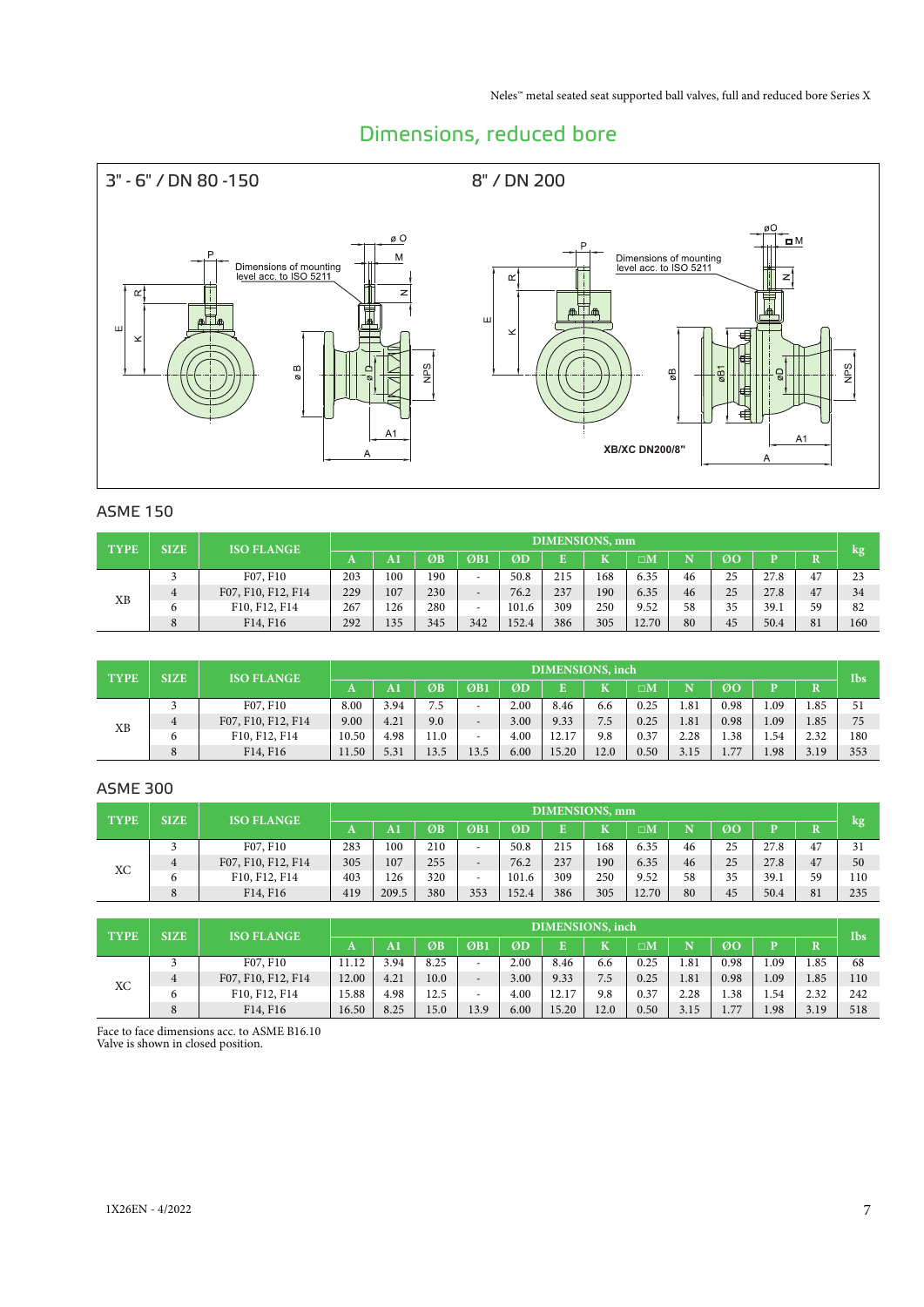## Dimensions, reduced bore



#### ASME 150

| <b>TYPE</b> | <b>SIZE</b> | <b>ISO FLANGE</b>                 |     | <b>DIMENSIONS</b> , mm |     |                          |       |     |     |             |    |    |      |    |     |  |
|-------------|-------------|-----------------------------------|-----|------------------------|-----|--------------------------|-------|-----|-----|-------------|----|----|------|----|-----|--|
|             |             |                                   |     | A1                     | ØB  | $\overline{OB1}$         | ØD    | E   | T   | $\square M$ |    | 00 |      |    | kg  |  |
|             |             | F07, F10                          | 203 | 100                    | 190 | -                        | 50.8  | 215 | 168 | 6.35        | 46 | 25 | 27.8 | 47 | 23  |  |
| ΧB          | 4           | F07, F10, F12, F14                | 229 | 107                    | 230 | $\qquad \qquad$          | 76.2  | 237 | 190 | 6.35        | 46 | 25 | 27.8 | 47 | 34  |  |
|             |             | F10, F12, F14                     | 267 | 126                    | 280 | $\overline{\phantom{a}}$ | 101.6 | 309 | 250 | 9.52        | 58 | 35 | 39.1 | 59 | 82  |  |
|             | 8           | F <sub>14</sub> , F <sub>16</sub> | 292 | 135                    | 345 | 342                      | 152.4 | 386 | 305 | 12.70       | 80 | 45 | 50.4 | 81 | 160 |  |

| <b>TYPE</b> | <b>SIZE</b> | <b>ISO FLANGE</b>  |       |      |      |                          |      | DIMENSIONS, inch |      |             |      |      |      |      | <b>Ibs</b> |
|-------------|-------------|--------------------|-------|------|------|--------------------------|------|------------------|------|-------------|------|------|------|------|------------|
|             |             |                    | A     | A1   | ØB   | ØB1                      | ØD   | E.               | K    | $\square M$ |      | ØO   |      |      |            |
|             |             | F07, F10           | 8.00  | 3.94 | 7.5  |                          | 2.00 | 8.46             | 6.6  | 0.25        | 1.81 | 0.98 | 1.09 | 1.85 | 51         |
|             | 4           | F07, F10, F12, F14 | 9.00  | 4.21 | 9.0  | $\overline{\phantom{a}}$ | 3.00 | 9.33             | 7.5  | 0.25        | 1.81 | 0.98 | 1.09 | 1.85 | 75         |
| ΧB          | O           | F10, F12, F14      | 10.50 | 4.98 | 11.0 | $\qquad \qquad =$        | 4.00 | 12.17            | 9.8  | 0.37        | 2.28 | 1.38 | 1.54 | 2.32 | 180        |
|             | 8           | F14, F16           | 11.50 | 5.31 | 13.5 | 13.5                     | 6.00 | 15.20            | 12.0 | 0.50        | 3.15 | 1.77 | 1.98 | 3.19 | 353        |

#### ASME 300

| <b>TYPE</b> | <b>SIZE</b> | <b>ISO FLANGE</b>  |     | <b>DIMENSIONS</b> , mm |     |                          |       |     |                         |                      |    |    |      |    |     |
|-------------|-------------|--------------------|-----|------------------------|-----|--------------------------|-------|-----|-------------------------|----------------------|----|----|------|----|-----|
|             |             |                    | A   | AI                     | ØB  | ØB1                      | ØD    |     | $\overline{\mathbf{K}}$ | $\square \mathbf{M}$ |    | ØO |      |    | kg  |
|             |             | F07, F10           | 283 | 100                    | 210 | $\overline{\phantom{a}}$ | 50.8  | 215 | 168                     | 6.35                 | 46 | 25 | 27.8 | 47 | 31  |
|             | 4           | F07, F10, F12, F14 | 305 | 107                    | 255 | $\overline{\phantom{0}}$ | 76.2  | 237 | 190                     | 6.35                 | 46 | 25 | 27.8 | 47 | 50  |
| ХC          | 6           | F10, F12, F14      | 403 | 126                    | 320 | $\overline{\phantom{a}}$ | 101.6 | 309 | 250                     | 9.52                 | 58 | 35 | 39.1 | 59 | 110 |
|             | 8           | F14, F16           | 419 | 209.5                  | 380 | 353                      | 152.4 | 386 | 305                     | 12.70                | 80 | 45 | 50.4 | 81 | 235 |
|             |             |                    |     |                        |     |                          |       |     |                         |                      |    |    |      |    |     |

| <b>TYPE</b> | <b>SIZE</b> | <b>ISO FLANGE</b>  |       | DIMENSIONS, inch |      |                          |      |       |              |                    |      |      |      |      |            |  |
|-------------|-------------|--------------------|-------|------------------|------|--------------------------|------|-------|--------------|--------------------|------|------|------|------|------------|--|
|             |             |                    | A     | AI               | ØB   | ØB1                      | ØD   |       | $\mathbf{z}$ | $\sqcap\mathsf{M}$ |      | ØO   |      |      | <b>Ibs</b> |  |
|             |             | F07, F10           | 11.12 | 3.94             | 8.25 | $\overline{\phantom{a}}$ | 2.00 | 8.46  | 6.6          | 0.25               | 1.81 | 0.98 | 1.09 | 1.85 | 68         |  |
| XC          | 4           | F07, F10, F12, F14 | 12.00 | 4.21             | 10.0 | $\qquad \qquad$          | 3.00 | 9.33  | 7.5          | 0.25               | 1.81 | 0.98 | 1.09 | 1.85 | 110        |  |
|             | 6           | F10, F12, F14      | 15.88 | 4.98             | 12.5 | $\overline{\phantom{a}}$ | 4.00 | 12.17 | 9.8          | 0.37               | 2.28 | 1.38 | 1.54 | 2.32 | 242        |  |
|             | 8           | F14, F16           | 16.50 | 8.25             | 15.0 | 13.9                     | 6.00 | 15.20 | 12.0         | 0.50               | 3.15 | 1.77 | 1.98 | 3.19 | 518        |  |

Face to face dimensions acc. to ASME B16.10 Valve is shown in closed position.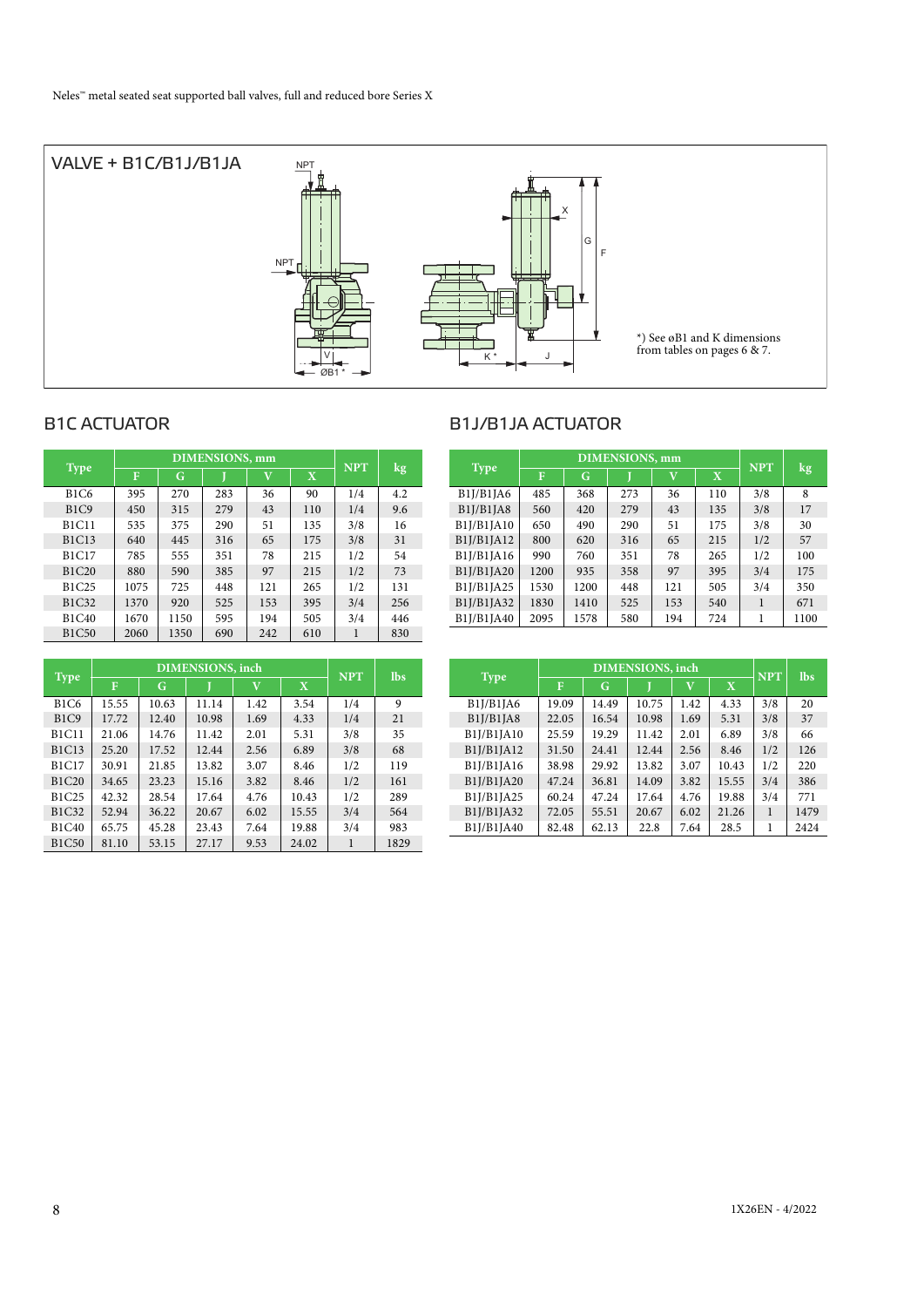

## B1C ACTUATOR B1J/B1JA ACTUATOR

| <b>Type</b>  |      | <b>DIMENSIONS, mm</b> |     | <b>NPT</b>  | kg                      |     |     |
|--------------|------|-----------------------|-----|-------------|-------------------------|-----|-----|
|              | F    | G                     |     | $\mathbf v$ | $\overline{\mathbf{X}}$ |     |     |
| <b>B1C6</b>  | 395  | 270                   | 283 | 36          | 90                      | 1/4 | 4.2 |
| B1C9         | 450  | 315                   | 279 | 43          | 110                     | 1/4 | 9.6 |
| <b>B1C11</b> | 535  | 375                   | 290 | 51          | 135                     | 3/8 | 16  |
| <b>B1C13</b> | 640  | 445                   | 316 | 65          | 175                     | 3/8 | 31  |
| <b>B1C17</b> | 785  | 555                   | 351 | 78          | 215                     | 1/2 | 54  |
| <b>B1C20</b> | 880  | 590                   | 385 | 97          | 215                     | 1/2 | 73  |
| <b>B1C25</b> | 1075 | 725                   | 448 | 121         | 265                     | 1/2 | 131 |
| <b>B1C32</b> | 1370 | 920                   | 525 | 153         | 395                     | 3/4 | 256 |
| <b>B1C40</b> | 1670 | 1150                  | 595 | 194         | 505                     | 3/4 | 446 |
| <b>B1C50</b> | 2060 | 1350                  | 690 | 242         | 610                     | 1   | 830 |

|              | <b>DIMENSIONS</b> , inch |       |       |             |             |            | <b>lbs</b> |
|--------------|--------------------------|-------|-------|-------------|-------------|------------|------------|
| Type         | F                        | G     |       | $\mathbf v$ | $\mathbf X$ | <b>NPT</b> |            |
| <b>B1C6</b>  | 15.55                    | 10.63 | 11.14 | 1.42        | 3.54        | 1/4        | 9          |
| B1C9         | 17.72                    | 12.40 | 10.98 | 1.69        | 4.33        | 1/4        | 21         |
| <b>B1C11</b> | 21.06                    | 14.76 | 11.42 | 2.01        | 5.31        | 3/8        | 35         |
| <b>B1C13</b> | 25.20                    | 17.52 | 12.44 | 2.56        | 6.89        | 3/8        | 68         |
| <b>B1C17</b> | 30.91                    | 21.85 | 13.82 | 3.07        | 8.46        | 1/2        | 119        |
| <b>B1C20</b> | 34.65                    | 23.23 | 15.16 | 3.82        | 8.46        | 1/2        | 161        |
| B1C25        | 42.32                    | 28.54 | 17.64 | 4.76        | 10.43       | 1/2        | 289        |
| <b>B1C32</b> | 52.94                    | 36.22 | 20.67 | 6.02        | 15.55       | 3/4        | 564        |
| <b>B1C40</b> | 65.75                    | 45.28 | 23.43 | 7.64        | 19.88       | 3/4        | 983        |
| <b>B1C50</b> | 81.10                    | 53.15 | 27.17 | 9.53        | 24.02       |            | 1829       |

| <b>Type</b> |      | <b>DIMENSIONS</b> , mm | <b>NPT</b> | kg           |             |     |      |
|-------------|------|------------------------|------------|--------------|-------------|-----|------|
|             | F    | G                      |            | $\mathbf{V}$ | $\mathbf X$ |     |      |
| B1J/B1JA6   | 485  | 368                    | 273        | 36           | 110         | 3/8 | 8    |
| B1J/B1JA8   | 560  | 420                    | 279        | 43           | 135         | 3/8 | 17   |
| B1J/B1JA10  | 650  | 490                    | 290        | 51           | 175         | 3/8 | 30   |
| B1J/B1JA12  | 800  | 620                    | 316        | 65           | 215         | 1/2 | 57   |
| B1J/B1JA16  | 990  | 760                    | 351        | 78           | 265         | 1/2 | 100  |
| B1J/B1JA20  | 1200 | 935                    | 358        | 97           | 395         | 3/4 | 175  |
| B1J/B1JA25  | 1530 | 1200                   | 448        | 121          | 505         | 3/4 | 350  |
| B1J/B1JA32  | 1830 | 1410                   | 525        | 153          | 540         | 1   | 671  |
| B1J/B1JA40  | 2095 | 1578                   | 580        | 194          | 724         | 1   | 1100 |

|             | <b>DIMENSIONS</b> , inch |       |       |                         |                         |            | <b>lbs</b> |
|-------------|--------------------------|-------|-------|-------------------------|-------------------------|------------|------------|
| <b>Type</b> | F                        | G     |       | $\overline{\mathbf{V}}$ | $\overline{\mathbf{X}}$ | <b>NPT</b> |            |
| B1J/B1JA6   | 19.09                    | 14.49 | 10.75 | 1.42                    | 4.33                    | 3/8        | 20         |
| B1J/B1JA8   | 22.05                    | 16.54 | 10.98 | 1.69                    | 5.31                    | 3/8        | 37         |
| B1J/B1JA10  | 25.59                    | 19.29 | 11.42 | 2.01                    | 6.89                    | 3/8        | 66         |
| B1J/B1JA12  | 31.50                    | 24.41 | 12.44 | 2.56                    | 8.46                    | 1/2        | 126        |
| B1J/B1JA16  | 38.98                    | 29.92 | 13.82 | 3.07                    | 10.43                   | 1/2        | 220        |
| B1J/B1JA20  | 47.24                    | 36.81 | 14.09 | 3.82                    | 15.55                   | 3/4        | 386        |
| B1J/B1JA25  | 60.24                    | 47.24 | 17.64 | 4.76                    | 19.88                   | 3/4        | 771        |
| B1J/B1JA32  | 72.05                    | 55.51 | 20.67 | 6.02                    | 21.26                   | 1          | 1479       |
| B1J/B1JA40  | 82.48                    | 62.13 | 22.8  | 7.64                    | 28.5                    |            | 2424       |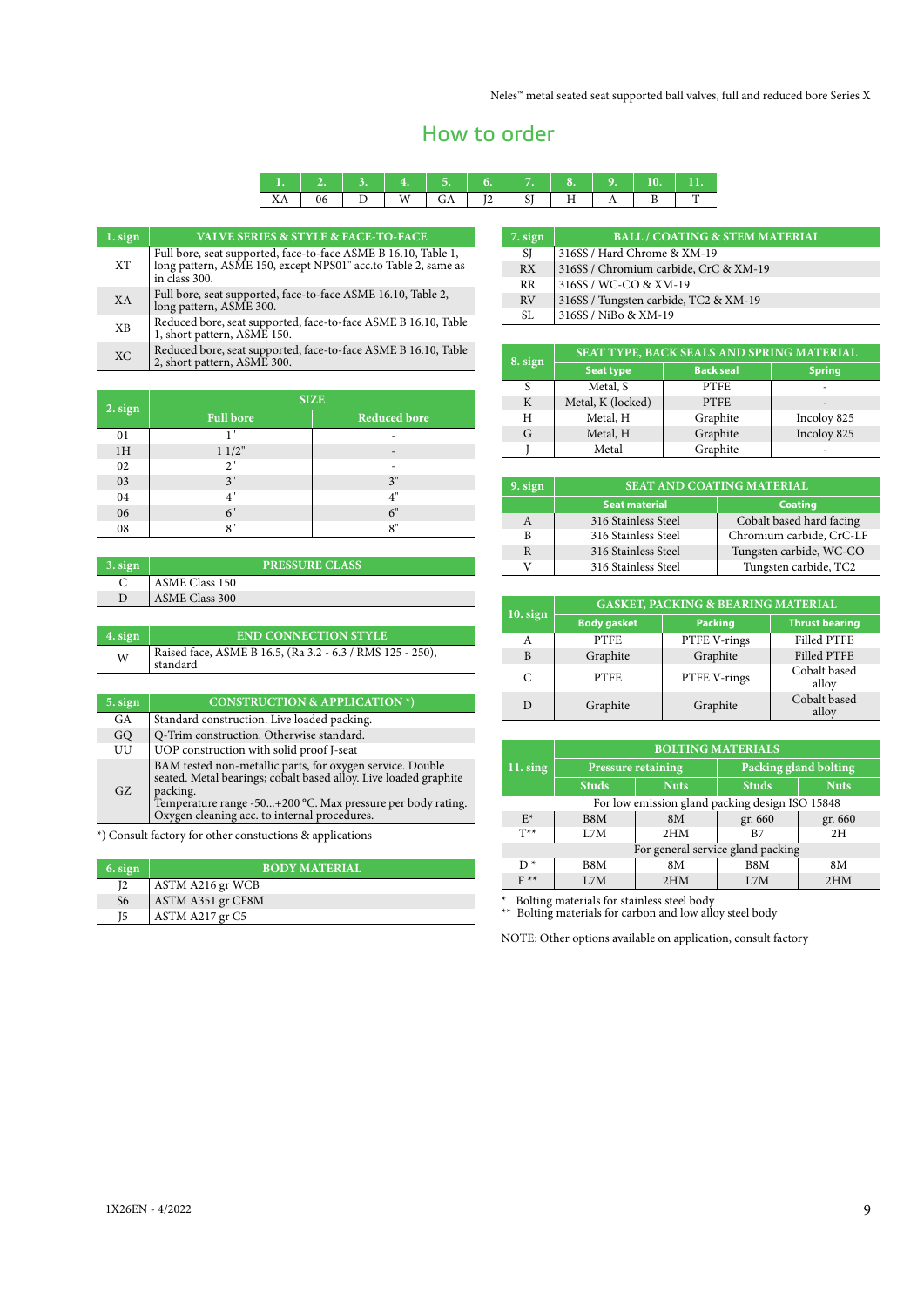## How to order

| $\mathbf{v}$<br>ΛA |  |  | ∼ |  |  |
|--------------------|--|--|---|--|--|

| 1. sign   | <b>VALVE SERIES &amp; STYLE &amp; FACE-TO-FACE</b>                                                                                               |
|-----------|--------------------------------------------------------------------------------------------------------------------------------------------------|
| <b>XT</b> | Full bore, seat supported, face-to-face ASME B 16.10, Table 1,<br>long pattern, ASME 150, except NPS01" acc.to Table 2, same as<br>in class 300. |
| XA        | Full bore, seat supported, face-to-face ASME 16.10, Table 2,<br>long pattern, ASME 300.                                                          |
| <b>XB</b> | Reduced bore, seat supported, face-to-face ASME B 16.10, Table<br>1, short pattern, ASME 150.                                                    |
| <b>XC</b> | Reduced bore, seat supported, face-to-face ASME B 16.10, Table<br>2, short pattern, ASME 300.                                                    |

|         | <b>SIZE</b>      |                     |  |  |  |
|---------|------------------|---------------------|--|--|--|
| 2. sign | <b>Full bore</b> | <b>Reduced bore</b> |  |  |  |
| 01      | 1"               | ۰                   |  |  |  |
| 1H      | 11/2"            | -                   |  |  |  |
| 02      | 2"               | -                   |  |  |  |
| 03      | 3"               | 3"                  |  |  |  |
| 04      | 4"               | 4"                  |  |  |  |
| 06      | 6"               | 6"                  |  |  |  |
| 08      | 8"               | 8"                  |  |  |  |

| $\frac{3 \cdot \text{sign}}{2}$ | <b>PRESSURE CLASS</b> |
|---------------------------------|-----------------------|
|                                 | ASME Class 150        |
| D                               | <b>ASME Class 300</b> |
|                                 |                       |

| 4. sign | <b>END CONNECTION STYLE</b>                                           |
|---------|-----------------------------------------------------------------------|
| W       | Raised face, ASME B 16.5, (Ra 3.2 - 6.3 / RMS 125 - 250),<br>standard |

| 5. sign | <b>CONSTRUCTION &amp; APPLICATION *)</b>                                                                                                                                                                                                                 |
|---------|----------------------------------------------------------------------------------------------------------------------------------------------------------------------------------------------------------------------------------------------------------|
| GA      | Standard construction. Live loaded packing.                                                                                                                                                                                                              |
| GQ      | Q-Trim construction. Otherwise standard.                                                                                                                                                                                                                 |
| UU      | UOP construction with solid proof J-seat                                                                                                                                                                                                                 |
| GZ      | BAM tested non-metallic parts, for oxygen service. Double<br>seated. Metal bearings; cobalt based alloy. Live loaded graphite<br>packing.<br>Temperature range -50+200 °C. Max pressure per body rating.<br>Oxygen cleaning acc. to internal procedures. |

\*) Consult factory for other constuctions & applications

| 6. sign        | <b>BODY MATERIAL'</b> |
|----------------|-----------------------|
| I2             | ASTM A216 gr WCB      |
| S <sub>6</sub> | ASTM A351 gr CF8M     |
| I5             | ASTM A217 gr C5       |

| 7. sign       | <b>BALL / COATING &amp; STEM MATERIAL</b> |
|---------------|-------------------------------------------|
| <sup>SI</sup> | 316SS / Hard Chrome & XM-19               |
| RX.           | 316SS / Chromium carbide, CrC & XM-19     |
| <b>RR</b>     | 316SS / WC-CO & XM-19                     |
| RV            | 316SS / Tungsten carbide, TC2 & XM-19     |
| SL.           | 316SS / NiBo & XM-19                      |

| 8. sign | SEAT TYPE, BACK SEALS AND SPRING MATERIAL |                  |               |  |  |  |
|---------|-------------------------------------------|------------------|---------------|--|--|--|
|         | <b>Seat type</b>                          | <b>Back seal</b> | <b>Spring</b> |  |  |  |
|         | Metal, S                                  | <b>PTFE</b>      | -             |  |  |  |
| K       | Metal, K (locked)                         | <b>PTFE</b>      |               |  |  |  |
| H       | Metal, H                                  | Graphite         | Incoloy 825   |  |  |  |
| G       | Metal, H                                  | Graphite         | Incoloy 825   |  |  |  |
|         | Metal                                     | Graphite         |               |  |  |  |

| $9.$ sign    | <b>SEAT AND COATING MATERIAL</b> |                          |  |
|--------------|----------------------------------|--------------------------|--|
|              | <b>Seat material</b>             | <b>Coating</b>           |  |
| $\mathsf{A}$ | 316 Stainless Steel              | Cobalt based hard facing |  |
|              | 316 Stainless Steel              | Chromium carbide, CrC-LF |  |
|              | 316 Stainless Steel              | Tungsten carbide, WC-CO  |  |
|              | 316 Stainless Steel              | Tungsten carbide, TC2    |  |

| $10.$ sign | <b>GASKET, PACKING &amp; BEARING MATERIAL</b> |                |                       |  |  |
|------------|-----------------------------------------------|----------------|-----------------------|--|--|
|            | <b>Body gasket</b>                            | <b>Packing</b> | <b>Thrust bearing</b> |  |  |
| A          | <b>PTFE</b>                                   | PTFE V-rings   | <b>Filled PTFE</b>    |  |  |
| B          | Graphite                                      | Graphite       | <b>Filled PTFE</b>    |  |  |
| C          | <b>PTFE</b>                                   | PTFE V-rings   | Cobalt based<br>alloy |  |  |
|            | Graphite                                      | Graphite       | Cobalt based<br>alloy |  |  |

|                                                 | <b>BOLTING MATERIALS</b>  |       |                       |             |  |  |  |
|-------------------------------------------------|---------------------------|-------|-----------------------|-------------|--|--|--|
| $11.$ sing                                      | <b>Pressure retaining</b> |       | Packing gland bolting |             |  |  |  |
|                                                 | <b>Studs</b>              | Nuts. | <b>Studs</b>          | <b>Nuts</b> |  |  |  |
| For low emission gland packing design ISO 15848 |                           |       |                       |             |  |  |  |
| $E^*$                                           | B8M                       | 8M    | gr. 660               | gr. 660     |  |  |  |
| $T^*$                                           | 1.7M                      | 2HM   | B7                    | 2H          |  |  |  |
| For general service gland packing               |                           |       |                       |             |  |  |  |
| D <sup>*</sup>                                  | B8M                       | 8M    | B8M                   | 8M          |  |  |  |
| $F^*$                                           | 1.7M                      | 2HM   | 1.7M                  | 2HM         |  |  |  |

\* Bolting materials for stainless steel body \*\* Bolting materials for carbon and low alloy steel body

NOTE: Other options available on application, consult factory